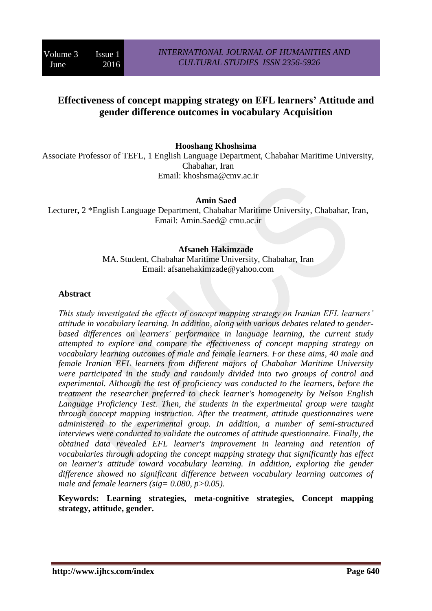# **Effectiveness of concept mapping strategy on EFL learners' Attitude and gender difference outcomes in vocabulary Acquisition**

**Hooshang Khoshsima**

Associate Professor of TEFL, 1 English Language Department, Chabahar Maritime University, Chabahar, Iran Email: khoshsma@cmv.ac.ir

**Amin Saed**

Lecturer**,** 2 \*English Language Department, Chabahar Maritime University, Chabahar, Iran, Email: Amin.Saed@ cmu.ac.ir

#### **Afsaneh Hakimzade**

MA. Student, Chabahar Maritime University, Chabahar, Iran Email: afsanehakimzade@yahoo.com

#### **Abstract**

*This study investigated the effects of concept mapping strategy on Iranian EFL learners' attitude in vocabulary learning. In addition, along with various debates related to genderbased differences on learners' performance in language learning, the current study attempted to explore and compare the effectiveness of concept mapping strategy on vocabulary learning outcomes of male and female learners. For these aims, 40 male and female Iranian EFL learners from different majors of Chabahar Maritime University were participated in the study and randomly divided into two groups of control and experimental. Although the test of proficiency was conducted to the learners, before the treatment the researcher preferred to check learner's homogeneity by Nelson English Language Proficiency Test. Then, the students in the experimental group were taught through concept mapping instruction. After the treatment, attitude questionnaires were administered to the experimental group. In addition, a number of semi-structured interviews were conducted to validate the outcomes of attitude questionnaire. Finally, the obtained data revealed EFL learner's improvement in learning and retention of vocabularies through adopting the concept mapping strategy that significantly has effect on learner's attitude toward vocabulary learning. In addition, exploring the gender difference showed no significant difference between vocabulary learning outcomes of male and female learners (sig= 0.080, p>0.05).*

**Keywords: Learning strategies, meta-cognitive strategies, Concept mapping strategy, attitude, gender.**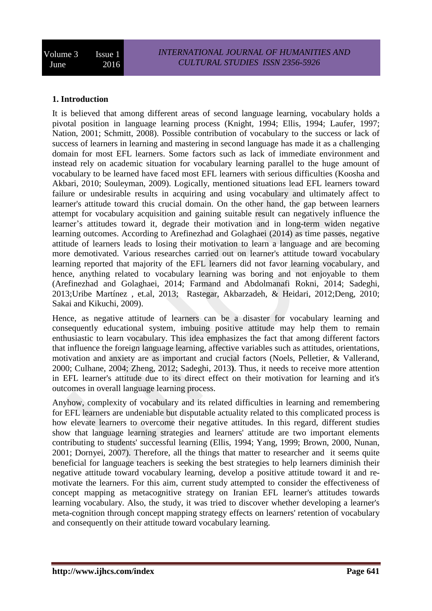## **1. Introduction**

It is believed that among different areas of second language learning, vocabulary holds a pivotal position in language learning process (Knight, 1994; Ellis, 1994; Laufer, 1997; Nation, 2001; Schmitt, 2008). Possible contribution of vocabulary to the success or lack of success of learners in learning and mastering in second language has made it as a challenging domain for most EFL learners. Some factors such as lack of immediate environment and instead rely on academic situation for vocabulary learning parallel to the huge amount of vocabulary to be learned have faced most EFL learners with serious difficulties (Koosha and Akbari, 2010; Souleyman, 2009). Logically, mentioned situations lead EFL learners toward failure or undesirable results in acquiring and using vocabulary and ultimately affect to learner's attitude toward this crucial domain. On the other hand, the gap between learners attempt for vocabulary acquisition and gaining suitable result can negatively influence the learner's attitudes toward it, degrade their motivation and in long-term widen negative learning outcomes. According to Arefinezhad and Golaghaei (2014) as time passes, negative attitude of learners leads to losing their motivation to learn a language and are becoming more demotivated. Various researches carried out on learner's attitude toward vocabulary learning reported that majority of the EFL learners did not favor learning vocabulary, and hence, anything related to vocabulary learning was boring and not enjoyable to them (Arefinezhad and Golaghaei, 2014; Farmand and Abdolmanafi Rokni, 2014; Sadeghi, 2013;Uribe Martínez , et.al, 2013; Rastegar, Akbarzadeh, & Heidari, 2012;Deng, 2010; Sakai and Kikuchi, 2009).

Hence, as negative attitude of learners can be a disaster for vocabulary learning and consequently educational system, imbuing positive attitude may help them to remain enthusiastic to learn vocabulary. This idea emphasizes the fact that among different factors that influence the foreign language learning, affective variables such as attitudes, orientations, motivation and anxiety are as important and crucial factors (Noels, Pelletier, & Vallerand, 2000; Culhane, 2004; Zheng, 2012; Sadeghi, 2013**)**. Thus, it needs to receive more attention in EFL learner's attitude due to its direct effect on their motivation for learning and it's outcomes in overall language learning process.

Anyhow, complexity of vocabulary and its related difficulties in learning and remembering for EFL learners are undeniable but disputable actuality related to this complicated process is how elevate learners to overcome their negative attitudes. In this regard, different studies show that language learning strategies and learners' attitude are two important elements contributing to students' successful learning (Ellis, 1994; Yang, 1999; Brown, 2000, Nunan, 2001; Dornyei, 2007). Therefore, all the things that matter to researcher and it seems quite beneficial for language teachers is seeking the best strategies to help learners diminish their negative attitude toward vocabulary learning, develop a positive attitude toward it and remotivate the learners. For this aim, current study attempted to consider the effectiveness of concept mapping as metacognitive strategy on Iranian EFL learner's attitudes towards learning vocabulary. Also, the study, it was tried to discover whether developing a learner's meta-cognition through concept mapping strategy effects on learners' retention of vocabulary and consequently on their attitude toward vocabulary learning.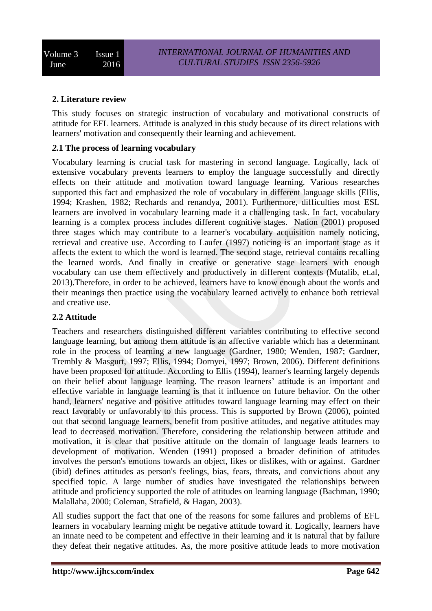## **2. Literature review**

This study focuses on strategic instruction of vocabulary and motivational constructs of attitude for EFL learners. Attitude is analyzed in this study because of its direct relations with learners' motivation and consequently their learning and achievement.

## *2.***1 The process of learning vocabulary**

Vocabulary learning is crucial task for mastering in second language. Logically, lack of extensive vocabulary prevents learners to employ the language successfully and directly effects on their attitude and motivation toward language learning. Various researches supported this fact and emphasized the role of vocabulary in different language skills (Ellis, 1994; Krashen, 1982; Rechards and renandya, 2001). Furthermore, difficulties most ESL learners are involved in vocabulary learning made it a challenging task. In fact, vocabulary learning is a complex process includes different cognitive stages. Nation (2001) proposed three stages which may contribute to a learner's vocabulary acquisition namely noticing, retrieval and creative use. According to Laufer (1997) noticing is an important stage as it affects the extent to which the word is learned. The second stage, retrieval contains recalling the learned words. And finally in creative or generative stage learners with enough vocabulary can use them effectively and productively in different contexts (Mutalib, et.al, 2013).Therefore, in order to be achieved, learners have to know enough about the words and their meanings then practice using the vocabulary learned actively to enhance both retrieval and creative use.

## **2***.***2 Attitude**

Teachers and researchers distinguished different variables contributing to effective second language learning, but among them attitude is an affective variable which has a determinant role in the process of learning a new language (Gardner, 1980; Wenden, 1987; Gardner, Trembly & Masgurt, 1997; Ellis, 1994; Dornyei, 1997; Brown, 2006). Different definitions have been proposed for attitude. According to Ellis (1994), learner's learning largely depends on their belief about language learning. The reason learners' attitude is an important and effective variable in language learning is that it influence on future behavior. On the other hand, learners' negative and positive attitudes toward language learning may effect on their react favorably or unfavorably to this process. This is supported by Brown (2006), pointed out that second language learners, benefit from positive attitudes, and negative attitudes may lead to decreased motivation. Therefore, considering the relationship between attitude and motivation, it is clear that positive attitude on the domain of language leads learners to development of motivation. Wenden (1991) proposed a broader definition of attitudes involves the person's emotions towards an object, likes or dislikes, with or against. Gardner (ibid) defines attitudes as person's feelings, bias, fears, threats, and convictions about any specified topic. A large number of studies have investigated the relationships between attitude and proficiency supported the role of attitudes on learning language (Bachman, 1990; Malallaha, 2000; Coleman, Strafield, & Hagan, 2003).

All studies support the fact that one of the reasons for some failures and problems of EFL learners in vocabulary learning might be negative attitude toward it. Logically, learners have an innate need to be competent and effective in their learning and it is natural that by failure they defeat their negative attitudes. As, the more positive attitude leads to more motivation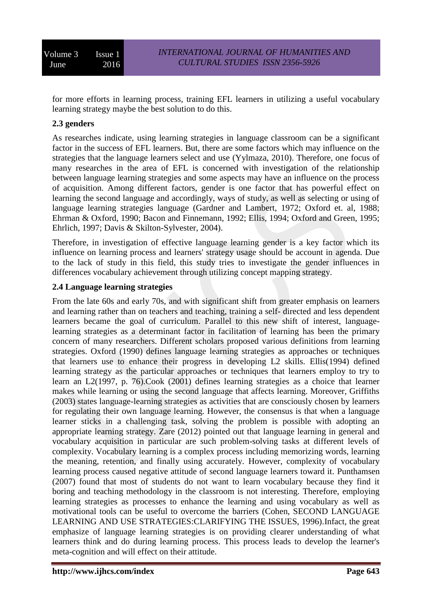for more efforts in learning process, training EFL learners in utilizing a useful vocabulary learning strategy maybe the best solution to do this.

## **2.3 genders**

As researches indicate, using learning strategies in language classroom can be a significant factor in the success of EFL learners. But, there are some factors which may influence on the strategies that the language learners select and use (Yylmaza, 2010). Therefore, one focus of many researches in the area of EFL is concerned with investigation of the relationship between language learning strategies and some aspects may have an influence on the process of acquisition. Among different factors, gender is one factor that has powerful effect on learning the second language and accordingly, ways of study, as well as selecting or using of language learning strategies language (Gardner and Lambert, 1972; Oxford et. al, 1988; Ehrman & Oxford, 1990; Bacon and Finnemann, 1992; Ellis, 1994; Oxford and Green, 1995; Ehrlich, 1997; Davis & Skilton-Sylvester, 2004).

Therefore, in investigation of effective language learning gender is a key factor which its influence on learning process and learners' strategy usage should be account in agenda. Due to the lack of study in this field, this study tries to investigate the gender influences in differences vocabulary achievement through utilizing concept mapping strategy.

## **2.4 Language learning strategies**

From the late 60s and early 70s, and with significant shift from greater emphasis on learners and learning rather than on teachers and teaching, training a self- directed and less dependent learners became the goal of curriculum. Parallel to this new shift of interest, languagelearning strategies as a determinant factor in facilitation of learning has been the primary concern of many researchers. Different scholars proposed various definitions from learning strategies. Oxford (1990) defines language learning strategies as approaches or techniques that learners use to enhance their progress in developing L2 skills. Ellis(1994) defined learning strategy as the particular approaches or techniques that learners employ to try to learn an L2(1997, p. 76).Cook (2001) defines learning strategies as a choice that learner makes while learning or using the second language that affects learning. Moreover, Griffiths (2003) states language-learning strategies as activities that are consciously chosen by learners for regulating their own language learning. However, the consensus is that when a language learner sticks in a challenging task, solving the problem is possible with adopting an appropriate learning strategy. Zare (2012) pointed out that language learning in general and vocabulary acquisition in particular are such problem-solving tasks at different levels of complexity. Vocabulary learning is a complex process including memorizing words, learning the meaning, retention, and finally using accurately. However, complexity of vocabulary learning process caused negative attitude of second language learners toward it. Punthamsen (2007) found that most of students do not want to learn vocabulary because they find it boring and teaching methodology in the classroom is not interesting. Therefore, employing learning strategies as processes to enhance the learning and using vocabulary as well as motivational tools can be useful to overcome the barriers (Cohen, SECOND LANGUAGE LEARNING AND USE STRATEGIES:CLARIFYING THE ISSUES, 1996).Infact, the great emphasize of language learning strategies is on providing clearer understanding of what learners think and do during learning process. This process leads to develop the learner's meta-cognition and will effect on their attitude.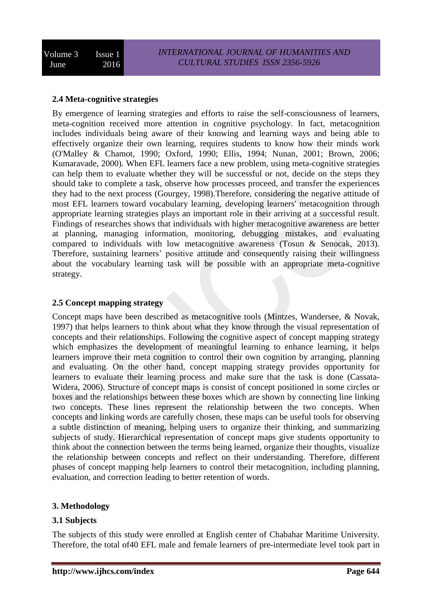## **2.4 Meta-cognitive strategies**

By emergence of learning strategies and efforts to raise the self-consciousness of learners, meta-cognition received more attention in cognitive psychology. In fact, metacognition includes individuals being aware of their knowing and learning ways and being able to effectively organize their own learning, requires students to know how their minds work (O'Malley & Chamot, 1990; Oxford, 1990; Ellis, 1994; Nunan, 2001; Brown, 2006; Kumaravade, 2000). When EFL learners face a new problem, using meta-cognitive strategies can help them to evaluate whether they will be successful or not, decide on the steps they should take to complete a task, observe how processes proceed, and transfer the experiences they had to the next process (Gourgey, 1998).Therefore, considering the negative attitude of most EFL learners toward vocabulary learning, developing learners' metacognition through appropriate learning strategies plays an important role in their arriving at a successful result. Findings of researches shows that individuals with higher metacognitive awareness are better at planning, managing information, monitoring, debugging mistakes, and evaluating compared to individuals with low metacognitive awareness (Tosun & Senocak, 2013). Therefore, sustaining learners' positive attitude and consequently raising their willingness about the vocabulary learning task will be possible with an appropriate meta-cognitive strategy.

#### **2.5 Concept mapping strategy**

Concept maps have been described as metacognitive tools (Mintzes, Wandersee, & Novak, 1997) that helps learners to think about what they know through the visual representation of concepts and their relationships. Following the cognitive aspect of concept mapping strategy which emphasizes the development of meaningful learning to enhance learning, it helps learners improve their meta cognition to control their own cognition by arranging, planning and evaluating. On the other hand, concept mapping strategy provides opportunity for learners to evaluate their learning process and make sure that the task is done (Cassata-Widera, 2006). Structure of concept maps is consist of concept positioned in some circles or boxes and the relationships between these boxes which are shown by connecting line linking two concepts. These lines represent the relationship between the two concepts. When concepts and linking words are carefully chosen, these maps can be useful tools for observing a subtle distinction of meaning, helping users to organize their thinking, and summarizing subjects of study. Hierarchical representation of concept maps give students opportunity to think about the connection between the terms being learned, organize their thoughts, visualize the relationship between concepts and reflect on their understanding. Therefore, different phases of concept mapping help learners to control their metacognition, including planning, evaluation, and correction leading to better retention of words.

## **3. Methodology**

## **3.1 Subjects**

The subjects of this study were enrolled at English center of Chabahar Maritime University. Therefore, the total of40 EFL male and female learners of pre-intermediate level took part in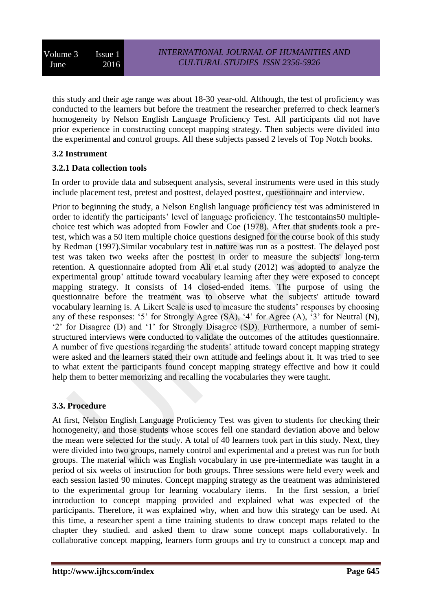this study and their age range was about 18-30 year-old. Although, the test of proficiency was conducted to the learners but before the treatment the researcher preferred to check learner's homogeneity by Nelson English Language Proficiency Test. All participants did not have prior experience in constructing concept mapping strategy. Then subjects were divided into the experimental and control groups. All these subjects passed 2 levels of Top Notch books.

## **3.2 Instrument**

## **3.2.1 Data collection tools**

In order to provide data and subsequent analysis, several instruments were used in this study include placement test, pretest and posttest, delayed posttest, questionnaire and interview.

Prior to beginning the study, a Nelson English language proficiency test was administered in order to identify the participants' level of language proficiency. The testcontains50 multiplechoice test which was adopted from Fowler and Coe (1978). After that students took a pretest, which was a 50 item multiple choice questions designed for the course book of this study by Redman (1997).Similar vocabulary test in nature was run as a posttest. The delayed post test was taken two weeks after the posttest in order to measure the subjects' long-term retention. A questionnaire adopted from Ali et.al study (2012) was adopted to analyze the experimental group' attitude toward vocabulary learning after they were exposed to concept mapping strategy. It consists of 14 closed-ended items. The purpose of using the questionnaire before the treatment was to observe what the subjects' attitude toward vocabulary learning is. A Likert Scale is used to measure the students' responses by choosing any of these responses: '5' for Strongly Agree (SA), '4' for Agree (A), '3' for Neutral (N), '2' for Disagree (D) and '1' for Strongly Disagree (SD). Furthermore, a number of semistructured interviews were conducted to validate the outcomes of the attitudes questionnaire. A number of five questions regarding the students' attitude toward concept mapping strategy were asked and the learners stated their own attitude and feelings about it. It was tried to see to what extent the participants found concept mapping strategy effective and how it could help them to better memorizing and recalling the vocabularies they were taught.

## **3.3. Procedure**

At first, Nelson English Language Proficiency Test was given to students for checking their homogeneity, and those students whose scores fell one standard deviation above and below the mean were selected for the study. A total of 40 learners took part in this study. Next, they were divided into two groups, namely control and experimental and a pretest was run for both groups. The material which was English vocabulary in use pre-intermediate was taught in a period of six weeks of instruction for both groups. Three sessions were held every week and each session lasted 90 minutes. Concept mapping strategy as the treatment was administered to the experimental group for learning vocabulary items. In the first session, a brief introduction to concept mapping provided and explained what was expected of the participants. Therefore, it was explained why, when and how this strategy can be used. At this time, a researcher spent a time training students to draw concept maps related to the chapter they studied. and asked them to draw some concept maps collaboratively. In collaborative concept mapping, learners form groups and try to construct a concept map and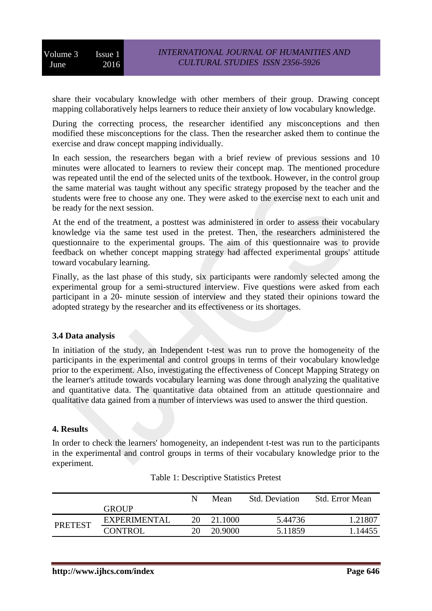share their vocabulary knowledge with other members of their group. Drawing concept mapping collaboratively helps learners to reduce their anxiety of low vocabulary knowledge.

During the correcting process, the researcher identified any misconceptions and then modified these misconceptions for the class. Then the researcher asked them to continue the exercise and draw concept mapping individually.

In each session, the researchers began with a brief review of previous sessions and 10 minutes were allocated to learners to review their concept map. The mentioned procedure was repeated until the end of the selected units of the textbook. However, in the control group the same material was taught without any specific strategy proposed by the teacher and the students were free to choose any one. They were asked to the exercise next to each unit and be ready for the next session.

At the end of the treatment, a posttest was administered in order to assess their vocabulary knowledge via the same test used in the pretest. Then, the researchers administered the questionnaire to the experimental groups. The aim of this questionnaire was to provide feedback on whether concept mapping strategy had affected experimental groups' attitude toward vocabulary learning.

Finally, as the last phase of this study, six participants were randomly selected among the experimental group for a semi-structured interview. Five questions were asked from each participant in a 20- minute session of interview and they stated their opinions toward the adopted strategy by the researcher and its effectiveness or its shortages.

## **3.4 Data analysis**

In initiation of the study, an Independent t-test was run to prove the homogeneity of the participants in the experimental and control groups in terms of their vocabulary knowledge prior to the experiment. Also, investigating the effectiveness of Concept Mapping Strategy on the learner's attitude towards vocabulary learning was done through analyzing the qualitative and quantitative data. The quantitative data obtained from an attitude questionnaire and qualitative data gained from a number of interviews was used to answer the third question.

## **4. Results**

In order to check the learners' homogeneity, an independent t-test was run to the participants in the experimental and control groups in terms of their vocabulary knowledge prior to the experiment.

|                |                     | N  | Mean    | <b>Std. Deviation</b> | <b>Std.</b> Error Mean |
|----------------|---------------------|----|---------|-----------------------|------------------------|
|                | <b>GROUP</b>        |    |         |                       |                        |
|                | <b>EXPERIMENTAL</b> | 20 | 21.1000 | 5.44736               | 1.21807                |
| <b>PRETEST</b> | <b>CONTROL</b>      | 20 | 20.9000 | 5.11859               | 1.14455                |

| Table 1: Descriptive Statistics Pretest |  |  |
|-----------------------------------------|--|--|
|-----------------------------------------|--|--|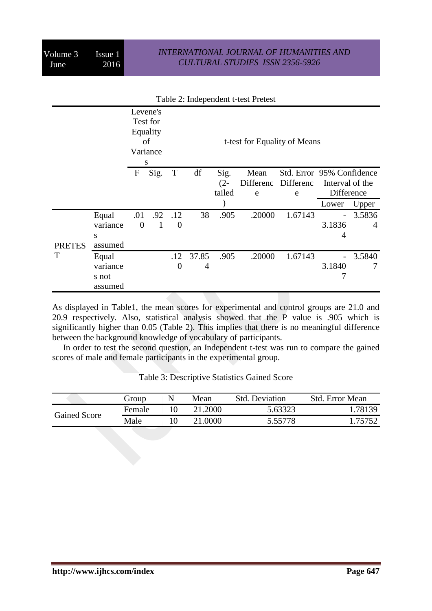#### *INTERNATIONAL JOURNAL OF HUMANITIES AND CULTURAL STUDIES ISSN 2356-5926*

|               |          |             | Levene's<br>Test for<br>Equality<br>οf<br>Variance<br>S |          |       |        | t-test for Equality of Means |                           |                 |        |
|---------------|----------|-------------|---------------------------------------------------------|----------|-------|--------|------------------------------|---------------------------|-----------------|--------|
|               |          | $\mathbf F$ | Sig.                                                    | T        | df    | Sig.   | Mean                         | Std. Error 95% Confidence |                 |        |
|               |          |             |                                                         |          |       | $(2 -$ |                              | Differenc Differenc       | Interval of the |        |
|               |          |             |                                                         |          |       | tailed | e                            | e                         | Difference      |        |
|               |          |             |                                                         |          |       |        |                              |                           | Lower           | Upper  |
|               | Equal    | .01         | .92                                                     | .12      | 38    | .905   | .20000                       | 1.67143                   | $\overline{a}$  | 3.5836 |
|               | variance | $\theta$    | $\mathbf{1}$                                            | $\theta$ |       |        |                              |                           | 3.1836          | 4      |
|               | S        |             |                                                         |          |       |        |                              |                           | 4               |        |
| <b>PRETES</b> | assumed  |             |                                                         |          |       |        |                              |                           |                 |        |
| T             | Equal    |             |                                                         | .12      | 37.85 | .905   | .20000                       | 1.67143                   |                 | 3.5840 |
|               | variance |             |                                                         | $\theta$ | 4     |        |                              |                           | 3.1840          | 7      |
|               | s not    |             |                                                         |          |       |        |                              |                           |                 |        |
|               | assumed  |             |                                                         |          |       |        |                              |                           |                 |        |

#### Table 2: Independent t-test Pretest

As displayed in Table1, the mean scores for experimental and control groups are 21.0 and 20.9 respectively. Also, statistical analysis showed that the P value is .905 which is significantly higher than 0.05 (Table 2). This implies that there is no meaningful difference between the background knowledge of vocabulary of participants.

 In order to test the second question, an Independent t-test was run to compare the gained scores of male and female participants in the experimental group.

|                     | Group  | Mean    | <b>Std. Deviation</b> | <b>Std. Error Mean</b> |
|---------------------|--------|---------|-----------------------|------------------------|
| <b>Gained Score</b> | Female | 21.2000 | 5.63323               | 78139                  |
|                     | Male   | 21.0000 | 5.55778               | 1.75752                |

Table 3: Descriptive Statistics Gained Score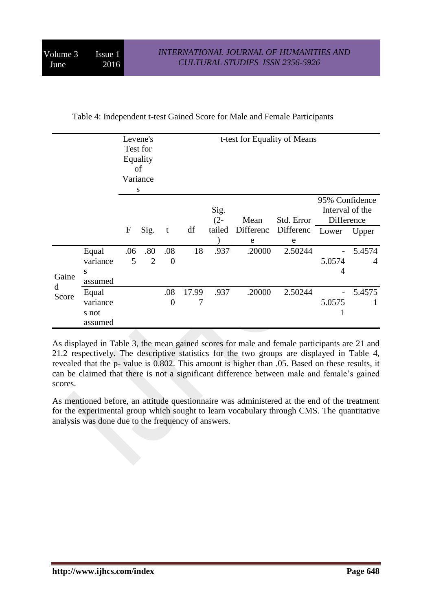| Table 4: Independent t-test Gained Score for Male and Female Participants |  |  |
|---------------------------------------------------------------------------|--|--|
|---------------------------------------------------------------------------|--|--|

|            |                                       |          | Levene's<br>Test for<br>Equality<br>of<br>Variance<br>S |                       |       | t-test for Equality of Means |                |                |                                                 |                          |  |  |
|------------|---------------------------------------|----------|---------------------------------------------------------|-----------------------|-------|------------------------------|----------------|----------------|-------------------------------------------------|--------------------------|--|--|
|            |                                       |          |                                                         |                       |       | Sig.<br>$(2 -$               | Mean           | Std. Error     | 95% Confidence<br>Interval of the<br>Difference |                          |  |  |
|            |                                       | F        | Sig.                                                    | t                     | df    | tailed                       | Differenc<br>e | Differenc<br>e | Lower                                           | Upper                    |  |  |
| Gaine      | Equal<br>variance<br>S<br>assumed     | .06<br>5 | .80<br>$\overline{2}$                                   | .08<br>$\overline{0}$ | 18    | .937                         | .20000         | 2.50244        | 5.0574<br>4                                     | 5.4574<br>$\overline{4}$ |  |  |
| d<br>Score | Equal<br>variance<br>s not<br>assumed |          |                                                         | .08<br>$\overline{0}$ | 17.99 | .937                         | .20000         | 2.50244        | 5.0575<br>T                                     | 5.4575                   |  |  |

As displayed in Table 3, the mean gained scores for male and female participants are 21 and 21.2 respectively. The descriptive statistics for the two groups are displayed in Table 4, revealed that the p- value is 0.802. This amount is higher than .05. Based on these results, it can be claimed that there is not a significant difference between male and female's gained scores.

As mentioned before, an attitude questionnaire was administered at the end of the treatment for the experimental group which sought to learn vocabulary through CMS. The quantitative analysis was done due to the frequency of answers.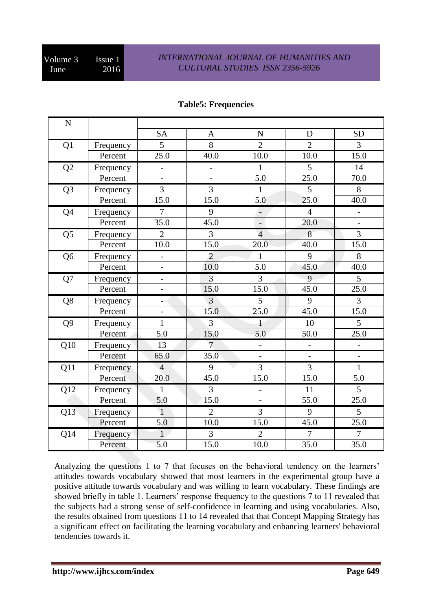## *INTERNATIONAL JOURNAL OF HUMANITIES AND CULTURAL STUDIES ISSN 2356-5926*

| ${\bf N}$      |           |                          |                          |                           |                          |                          |
|----------------|-----------|--------------------------|--------------------------|---------------------------|--------------------------|--------------------------|
|                |           | <b>SA</b>                | A                        | $\mathbf N$               | D                        | <b>SD</b>                |
| Q1             | Frequency | 5                        | 8                        | $\overline{2}$            | $\overline{2}$           | $\overline{3}$           |
|                | Percent   | 25.0                     | 40.0                     | 10.0                      | 10.0                     | 15.0                     |
| Q2             | Frequency | $\overline{a}$           | $\overline{\phantom{0}}$ | $\mathbf{1}$              | 5                        | 14                       |
|                | Percent   | $\overline{a}$           | $\overline{a}$           | 5.0                       | 25.0                     | 70.0                     |
| Q <sub>3</sub> | Frequency | 3                        | 3                        | $\mathbf{1}$              | $\overline{5}$           | 8                        |
|                | Percent   | 15.0                     | 15.0                     | 5.0                       | 25.0                     | 40.0                     |
| Q <sub>4</sub> | Frequency | $\overline{7}$           | 9                        | ÷,                        | $\overline{4}$           | -                        |
|                | Percent   | 35.0                     | 45.0                     | $\mathbb{L}^{\mathbb{N}}$ | 20.0                     | $\bar{\phantom{a}}$      |
| Q <sub>5</sub> | Frequency | $\overline{2}$           | 3                        | $\overline{4}$            | 8                        | $\overline{3}$           |
|                | Percent   | 10.0                     | 15.0                     | 20.0                      | 40.0                     | 15.0                     |
| Q <sub>6</sub> | Frequency | $\overline{\phantom{0}}$ | $\overline{2}$           | $\mathbf{1}$              | 9                        | 8                        |
|                | Percent   | $\frac{1}{2}$            | 10.0                     | 5.0                       | 45.0                     | 40.0                     |
| Q7             | Frequency | $\overline{\phantom{0}}$ | $\overline{3}$           | $\overline{3}$            | 9                        | $\overline{5}$           |
|                | Percent   | $\overline{a}$           | 15.0                     | 15.0                      | 45.0                     | 25.0                     |
| Q8             | Frequency | $\overline{\phantom{0}}$ | 3                        | 5                         | 9                        | $\overline{3}$           |
|                | Percent   | $\frac{1}{2}$            | 15.0                     | 25.0                      | 45.0                     | 15.0                     |
| Q <sub>9</sub> | Frequency | $\mathbf{1}$             | 3                        | $\mathbf{1}$              | 10                       | 5                        |
|                | Percent   | 5.0                      | 15.0                     | 5.0                       | 50.0                     | 25.0                     |
| Q10            | Frequency | 13                       | $\overline{7}$           | $\overline{\phantom{0}}$  | $\overline{\phantom{0}}$ | $\overline{\phantom{a}}$ |
|                | Percent   | 65.0                     | 35.0                     | $\overline{a}$            | $\overline{a}$           | $\overline{\phantom{a}}$ |
| Q11            | Frequency | $\overline{4}$           | 9                        | $\overline{3}$            | $\overline{3}$           | $\mathbf{1}$             |
|                | Percent   | 20.0                     | 45.0                     | 15.0                      | 15.0                     | 5.0                      |
| Q12            | Frequency | $\mathbf{1}$             | 3                        | $\overline{\phantom{0}}$  | 11                       | 5                        |
|                | Percent   | 5.0                      | 15.0                     | $\overline{\phantom{0}}$  | 55.0                     | 25.0                     |
| Q13            | Frequency | $\mathbf{1}$             | $\overline{2}$           | $\overline{3}$            | 9                        | 5                        |
|                | Percent   | 5.0                      | 10.0                     | 15.0                      | 45.0                     | 25.0                     |
| Q14            | Frequency | $\mathbf{1}$             | 3                        | $\overline{2}$            | $\overline{7}$           | $\overline{7}$           |
|                | Percent   | 5.0                      | 15.0                     | 10.0                      | 35.0                     | 35.0                     |

## **Table5: Frequencies**

Analyzing the questions 1 to 7 that focuses on the behavioral tendency on the learners' attitudes towards vocabulary showed that most learners in the experimental group have a positive attitude towards vocabulary and was willing to learn vocabulary. These findings are showed briefly in table 1. Learners' response frequency to the questions 7 to 11 revealed that the subjects had a strong sense of self-confidence in learning and using vocabularies. Also, the results obtained from questions 11 to 14 revealed that that Concept Mapping Strategy has a significant effect on facilitating the learning vocabulary and enhancing learners' behavioral tendencies towards it.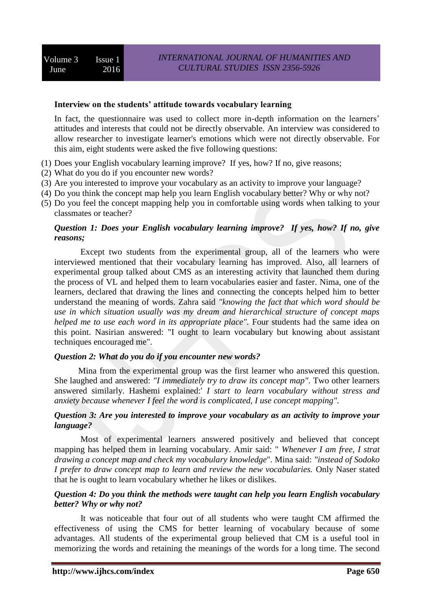#### **Interview on the students' attitude towards vocabulary learning**

In fact, the questionnaire was used to collect more in-depth information on the learners' attitudes and interests that could not be directly observable. An interview was considered to allow researcher to investigate learner's emotions which were not directly observable. For this aim, eight students were asked the five following questions:

- (1) Does your English vocabulary learning improve? If yes, how? If no, give reasons;
- (2) What do you do if you encounter new words?
- (3) Are you interested to improve your vocabulary as an activity to improve your language?
- (4) Do you think the concept map help you learn English vocabulary better? Why or why not?
- (5) Do you feel the concept mapping help you in comfortable using words when talking to your classmates or teacher?

### *Question 1: Does your English vocabulary learning improve? If yes, how? If no, give reasons;*

 Except two students from the experimental group, all of the learners who were interviewed mentioned that their vocabulary learning has improved. Also, all learners of experimental group talked about CMS as an interesting activity that launched them during the process of VL and helped them to learn vocabularies easier and faster. Nima, one of the learners, declared that drawing the lines and connecting the concepts helped him to better understand the meaning of words. Zahra said *"knowing the fact that which word should be use in which situation usually was my dream and hierarchical structure of concept maps helped me to use each word in its appropriate place".* Four students had the same idea on this point. Nasirian answered: "I ought to learn vocabulary but knowing about assistant techniques encouraged me".

#### *Question 2: What do you do if you encounter new words?*

 Mina from the experimental group was the first learner who answered this question. She laughed and answered: *"I immediately try to draw its concept map".* Two other learners answered similarly. Hashemi explained:' *I start to learn vocabulary without stress and anxiety because whenever I feel the word is complicated, I use concept mapping".* 

#### *Question 3: Are you interested to improve your vocabulary as an activity to improve your language?*

 Most of experimental learners answered positively and believed that concept mapping has helped them in learning vocabulary. Amir said: " *Whenever I am free, I strat drawing a concept map and check my vocabulary knowledge*". Mina said: *"instead of Sodoko I prefer to draw concept map to learn and review the new vocabularies.* Only Naser stated that he is ought to learn vocabulary whether he likes or dislikes.

#### *Question 4: Do you think the methods were taught can help you learn English vocabulary better? Why or why not?*

 It was noticeable that four out of all students who were taught CM affirmed the effectiveness of using the CMS for better learning of vocabulary because of some advantages. All students of the experimental group believed that CM is a useful tool in memorizing the words and retaining the meanings of the words for a long time. The second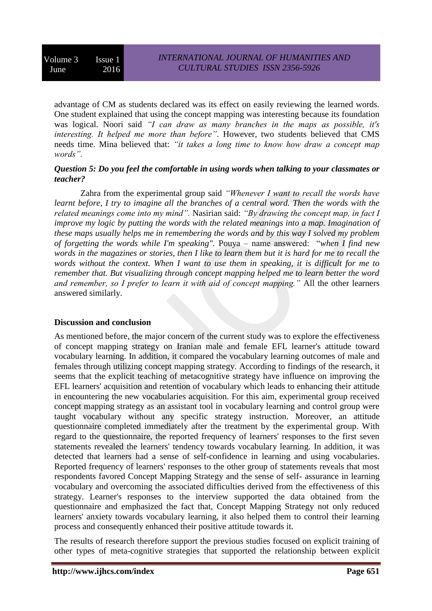advantage of CM as students declared was its effect on easily reviewing the learned words. One student explained that using the concept mapping was interesting because its foundation was logical. Noori said *"I can draw as many branches in the maps as possible, it's interesting. It helped me more than before"*. However, two students believed that CMS needs time. Mina believed that: *"it takes a long time to know how draw a concept map words".* 

#### *Question 5: Do you feel the comfortable in using words when talking to your classmates or teacher?*

 Zahra from the experimental group said *"Whenever I want to recall the words have learnt before, I try to imagine all the branches of a central word. Then the words with the related meanings come into my mind".* Nasirian said: *"By drawing the concept map, in fact I improve my logic by putting the words with the related meanings into a map. Imagination of these maps usually helps me in remembering the words and by this way I solved my problem of forgetting the words while I'm speaking".* Pouya – name answered: "*when I find new words in the magazines or stories, then I like to learn them but it is hard for me to recall the words without the context. When I want to use them in speaking, it is difficult for me to remember that. But visualizing through concept mapping helped me to learn better the word and remember, so I prefer to learn it with aid of concept mapping."* All the other learners answered similarly.

## **Discussion and conclusion**

As mentioned before, the major concern of the current study was to explore the effectiveness of concept mapping strategy on Iranian male and female EFL learner's attitude toward vocabulary learning. In addition, it compared the vocabulary learning outcomes of male and females through utilizing concept mapping strategy. According to findings of the research, it seems that the explicit teaching of metacognitive strategy have influence on improving the EFL learners' acquisition and retention of vocabulary which leads to enhancing their attitude in encountering the new vocabularies acquisition. For this aim, experimental group received concept mapping strategy as an assistant tool in vocabulary learning and control group were taught vocabulary without any specific strategy instruction. Moreover, an attitude questionnaire completed immediately after the treatment by the experimental group. With regard to the questionnaire, the reported frequency of learners' responses to the first seven statements revealed the learners' tendency towards vocabulary learning. In addition, it was detected that learners had a sense of self-confidence in learning and using vocabularies. Reported frequency of learners' responses to the other group of statements reveals that most respondents favored Concept Mapping Strategy and the sense of self- assurance in learning vocabulary and overcoming the associated difficulties derived from the effectiveness of this strategy. Learner's responses to the interview supported the data obtained from the questionnaire and emphasized the fact that, Concept Mapping Strategy not only reduced learners' anxiety towards vocabulary learning, it also helped them to control their learning process and consequently enhanced their positive attitude towards it.

The results of research therefore support the previous studies focused on explicit training of other types of meta-cognitive strategies that supported the relationship between explicit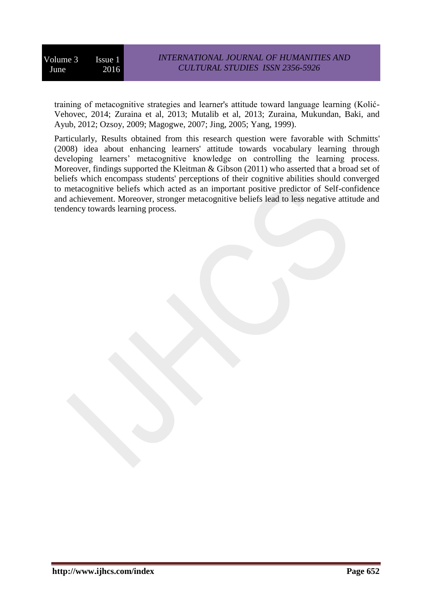training of metacognitive strategies and learner's attitude toward language learning (Kolić-Vehovec, 2014; Zuraina et al, 2013; Mutalib et al, 2013; Zuraina, Mukundan, Baki, and Ayub, 2012; Ozsoy, 2009; Magogwe, 2007; Jing, 2005; Yang, 1999).

Particularly, Results obtained from this research question were favorable with Schmitts' (2008) idea about enhancing learners' attitude towards vocabulary learning through developing learners' metacognitive knowledge on controlling the learning process. Moreover, findings supported the Kleitman & Gibson (2011) who asserted that a broad set of beliefs which encompass students' perceptions of their cognitive abilities should converged to metacognitive beliefs which acted as an important positive predictor of Self-confidence and achievement. Moreover, stronger metacognitive beliefs lead to less negative attitude and tendency towards learning process.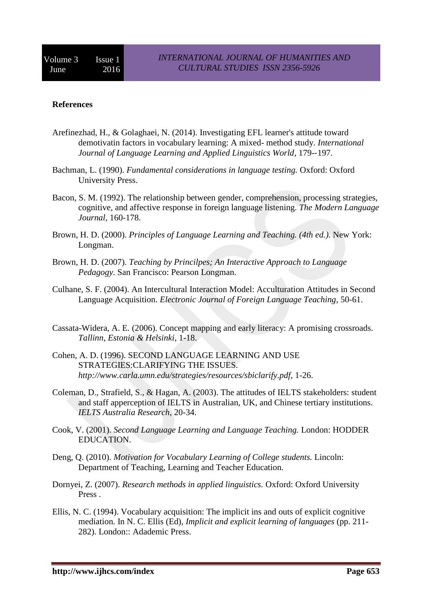#### **References**

- Arefinezhad, H., & Golaghaei, N. (2014). Investigating EFL learner's attitude toward demotivatin factors in vocabulary learning: A mixed- method study. *International Journal of Language Learning and Applied Linguistics World*, 179-‐197.
- Bachman, L. (1990). *Fundamental considerations in language testing.* Oxford: Oxford University Press.
- Bacon, S. M. (1992). The relationship between gender, comprehension, processing strategies, cognitive, and affective response in foreign language listening. *The Modern Language Journal*, 160-178.
- Brown, H. D. (2000). *Principles of Language Learning and Teaching. (4th ed.).* New York: Longman.
- Brown, H. D. (2007). *Teaching by Princilpes; An Interactive Approach to Language Pedagogy.* San Francisco: Pearson Longman.
- Culhane, S. F. (2004). An Intercultural Interaction Model: Acculturation Attitudes in Second Language Acquisition. *Electronic Journal of Foreign Language Teaching*, 50-61.
- Cassata-Widera, A. E. (2006). Concept mapping and early literacy: A promising crossroads. *Tallinn, Estonia & Helsinki*, 1-18.
- Cohen, A. D. (1996). SECOND LANGUAGE LEARNING AND USE STRATEGIES:CLARIFYING THE ISSUES. *http://www.carla.umn.edu/strategies/resources/sbiclarify.pdf*, 1-26.
- Coleman, D., Strafield, S., & Hagan, A. (2003). The attitudes of IELTS stakeholders: student and staff apperception of IELTS in Australian, UK, and Chinese tertiary institutions. *IELTS Australia Research*, 20-34.
- Cook, V. (2001). *Second Language Learning and Language Teaching.* London: HODDER EDUCATION.
- Deng, Q. (2010). *Motivation for Vocabulary Learning of College students.* Lincoln: Department of Teaching, Learning and Teacher Education.
- Dornyei, Z. (2007). *Research methods in applied linguistics.* Oxford: Oxford University Press .
- Ellis, N. C. (1994). Vocabulary acquisition: The implicit ins and outs of explicit cognitive mediation. In N. C. Ellis (Ed), *Implicit and explicit learning of languages* (pp. 211- 282). London:: Adademic Press.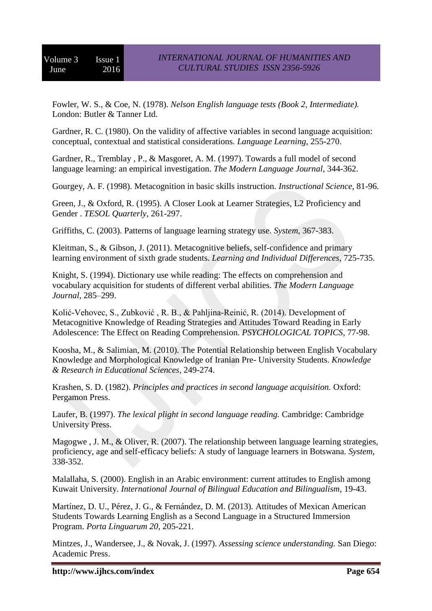Fowler, W. S., & Coe, N. (1978). *Nelson English language tests (Book 2, Intermediate).* London: Butler & Tanner Ltd.

Gardner, R. C. (1980). On the validity of affective variables in second language acquisition: conceptual, contextual and statistical considerations. *Language Learning*, 255-270.

Gardner, R., Tremblay , P., & Masgoret, A. M. (1997). Towards a full model of second language learning: an empirical investigation. *The Modern Language Journal*, 344-362.

Gourgey, A. F. (1998). Metacognition in basic skills instruction. *Instructional Science*, 81-96.

Green, J., & Oxford, R. (1995). A Closer Look at Learner Strategies, L2 Proficiency and Gender . *TESOL Quarterly*, 261-297.

Griffiths, C. (2003). Patterns of language learning strategy use. *System*, 367-383.

Kleitman, S., & Gibson, J. (2011). Metacognitive beliefs, self-confidence and primary learning environment of sixth grade students. *Learning and Individual Differences*, 725-735.

Knight, S. (1994). Dictionary use while reading: The effects on comprehension and vocabulary acquisition for students of different verbal abilities. *The Modern Language Journal*, 285–299.

Kolić-Vehovec, S., Zubković , R. B., & Pahljina-Reinić, R. (2014). Development of Metacognitive Knowledge of Reading Strategies and Attitudes Toward Reading in Early Adolescence: The Effect on Reading Comprehension. *PSYCHOLOGICAL TOPICS*, 77-98.

Koosha, M., & Salimian, M. (2010). The Potential Relationship between English Vocabulary Knowledge and Morphological Knowledge of Iranian Pre- University Students. *Knowledge & Research in Educational Sciences*, 249-274.

Krashen, S. D. (1982). *Principles and practices in second language acquisition.* Oxford: Pergamon Press.

Laufer, B. (1997). *The lexical plight in second language reading.* Cambridge: Cambridge University Press.

Magogwe , J. M., & Oliver, R. (2007). The relationship between language learning strategies, proficiency, age and self-efficacy beliefs: A study of language learners in Botswana. *System*, 338-352.

Malallaha, S. (2000). English in an Arabic environment: current attitudes to English among Kuwait University. *International Journal of Bilingual Education and Bilingualism*, 19-43.

Martínez, D. U., Pérez, J. G., & Fernández, D. M. (2013). Attitudes of Mexican American Students Towards Learning English as a Second Language in a Structured Immersion Program. *Porta Linguarum 20*, 205-221.

Mintzes, J., Wandersee, J., & Novak, J. (1997). *Assessing science understanding.* San Diego: Academic Press.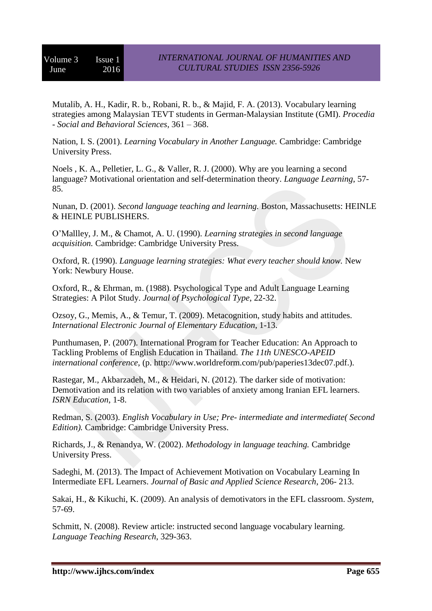Mutalib, A. H., Kadir, R. b., Robani, R. b., & Majid, F. A. (2013). Vocabulary learning strategies among Malaysian TEVT students in German-Malaysian Institute (GMI). *Procedia - Social and Behavioral Sciences*, 361 – 368.

Nation, I. S. (2001). *Learning Vocabulary in Another Language.* Cambridge: Cambridge University Press.

Noels , K. A., Pelletier, L. G., & Valler, R. J. (2000). Why are you learning a second language? Motivational orientation and self-determination theory. *Language Learning*, 57- 85.

Nunan, D. (2001). *Second language teaching and learning.* Boston, Massachusetts: HEINLE & HEINLE PUBLISHERS.

O'Mallley, J. M., & Chamot, A. U. (1990). *Learning strategies in second language acquisition.* Cambridge: Cambridge University Press.

Oxford, R. (1990). *Language learning strategies: What every teacher should know.* New York: Newbury House.

Oxford, R., & Ehrman, m. (1988). Psychological Type and Adult Language Learning Strategies: A Pilot Study. *Journal of Psychological Type*, 22-32.

Ozsoy, G., Memis, A., & Temur, T. (2009). Metacognition, study habits and attitudes. *International Electronic Journal of Elementary Education*, 1-13.

Punthumasen, P. (2007). International Program for Teacher Education: An Approach to Tackling Problems of English Education in Thailand. *The 11th UNESCO-APEID international conference*, (p. http://www.worldreform.com/pub/paperies13dec07.pdf.).

Rastegar, M., Akbarzadeh, M., & Heidari, N. (2012). The darker side of motivation: Demotivation and its relation with two variables of anxiety among Iranian EFL learners. *ISRN Education*, 1-8.

Redman, S. (2003). *English Vocabulary in Use; Pre- intermediate and intermediate( Second Edition).* Cambridge: Cambridge University Press.

Richards, J., & Renandya, W. (2002). *Methodology in language teaching.* Cambridge University Press.

Sadeghi, M. (2013). The Impact of Achievement Motivation on Vocabulary Learning In Intermediate EFL Learners. *Journal of Basic and Applied Science Research*, 206- 213.

Sakai, H., & Kikuchi, K. (2009). An analysis of demotivators in the EFL classroom. *System*, 57-69.

Schmitt, N. (2008). Review article: instructed second language vocabulary learning. *Language Teaching Research*, 329-363.